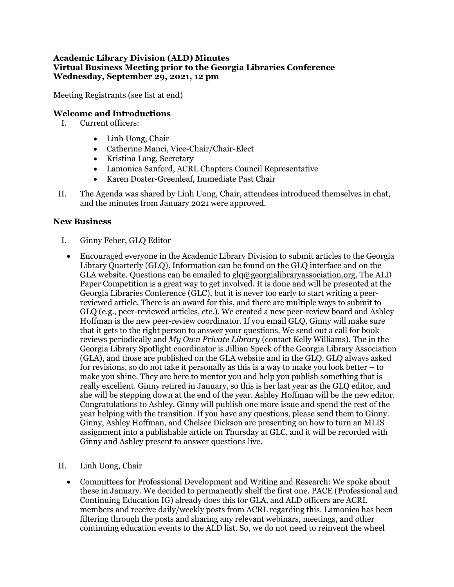## **Academic Library Division (ALD) Minutes Virtual Business Meeting prior to the Georgia Libraries Conference Wednesday, September 29, 2021, 12 pm**

Meeting Registrants (see list at end)

## **Welcome and Introductions**

- I. Current officers:
	- Linh Uong, Chair
	- Catherine Manci, Vice-Chair/Chair-Elect
	- Kristina Lang, Secretary
	- Lamonica Sanford, ACRL Chapters Council Representative
	- Karen Doster-Greenleaf, Immediate Past Chair
- II. The Agenda was shared by Linh Uong, Chair, attendees introduced themselves in chat, and the minutes from January 2021 were approved.

## **New Business**

- I. Ginny Feher, GLQ Editor
	- Encouraged everyone in the Academic Library Division to submit articles to the Georgia Library Quarterly (GLQ). Information can be found on the GLQ interface and on the GLA website. Questions can be emailed to  $glq@georgialibrary association.org$ . The ALD Paper Competition is a great way to get involved. It is done and will be presented at the Georgia Libraries Conference (GLC), but it is never too early to start writing a peerreviewed article. There is an award for this, and there are multiple ways to submit to GLQ (e.g., peer-reviewed articles, etc.). We created a new peer-review board and Ashley Hoffman is the new peer-review coordinator. If you email GLQ, Ginny will make sure that it gets to the right person to answer your questions. We send out a call for book reviews periodically and *My Own Private Library* (contact Kelly Williams). The in the Georgia Library Spotlight coordinator is Jillian Speck of the Georgia Library Association (GLA), and those are published on the GLA website and in the GLQ. GLQ always asked for revisions, so do not take it personally as this is a way to make you look better – to make you shine. They are here to mentor you and help you publish something that is really excellent. Ginny retired in January, so this is her last year as the GLQ editor, and she will be stepping down at the end of the year. Ashley Hoffman will be the new editor. Congratulations to Ashley. Ginny will publish one more issue and spend the rest of the year helping with the transition. If you have any questions, please send them to Ginny. Ginny, Ashley Hoffman, and Chelsee Dickson are presenting on how to turn an MLIS assignment into a publishable article on Thursday at GLC, and it will be recorded with Ginny and Ashley present to answer questions live.
- II. Linh Uong, Chair
	- Committees for Professional Development and Writing and Research: We spoke about these in January. We decided to permanently shelf the first one. PACE (Professional and Continuing Education IG) already does this for GLA, and ALD officers are ACRL members and receive daily/weekly posts from ACRL regarding this. Lamonica has been filtering through the posts and sharing any relevant webinars, meetings, and other continuing education events to the ALD list. So, we do not need to reinvent the wheel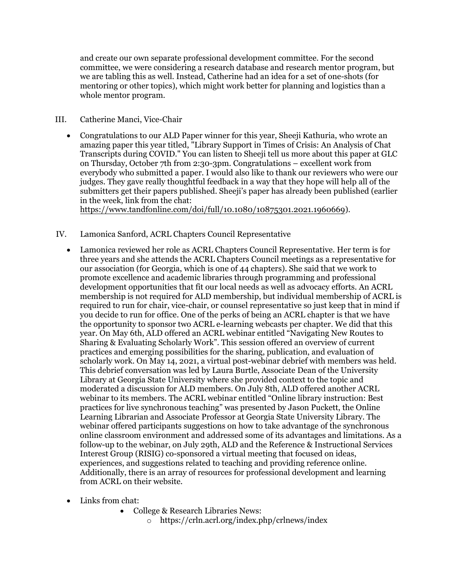and create our own separate professional development committee. For the second committee, we were considering a research database and research mentor program, but we are tabling this as well. Instead, Catherine had an idea for a set of one-shots (for mentoring or other topics), which might work better for planning and logistics than a whole mentor program.

## III. Catherine Manci, Vice-Chair

• Congratulations to our ALD Paper winner for this year, Sheeji Kathuria, who wrote an amazing paper this year titled, "Library Support in Times of Crisis: An Analysis of Chat Transcripts during COVID." You can listen to Sheeji tell us more about this paper at GLC on Thursday, October 7th from 2:30-3pm. Congratulations – excellent work from everybody who submitted a paper. I would also like to thank our reviewers who were our judges. They gave really thoughtful feedback in a way that they hope will help all of the submitters get their papers published. Sheeji's paper has already been published (earlier in the week, link from the chat:

[https://www.tandfonline.com/doi/full/10.1080/10875301.2021.1960669\)](https://www.tandfonline.com/doi/full/10.1080/10875301.2021.1960669).

- IV. Lamonica Sanford, ACRL Chapters Council Representative
	- Lamonica reviewed her role as ACRL Chapters Council Representative. Her term is for three years and she attends the ACRL Chapters Council meetings as a representative for our association (for Georgia, which is one of 44 chapters). She said that we work to promote excellence and academic libraries through programming and professional development opportunities that fit our local needs as well as advocacy efforts. An ACRL membership is not required for ALD membership, but individual membership of ACRL is required to run for chair, vice-chair, or counsel representative so just keep that in mind if you decide to run for office. One of the perks of being an ACRL chapter is that we have the opportunity to sponsor two ACRL e-learning webcasts per chapter. We did that this year. On May 6th, ALD offered an ACRL webinar entitled "Navigating New Routes to Sharing & Evaluating Scholarly Work". This session offered an overview of current practices and emerging possibilities for the sharing, publication, and evaluation of scholarly work. On May 14, 2021, a virtual post-webinar debrief with members was held. This debrief conversation was led by Laura Burtle, Associate Dean of the University Library at Georgia State University where she provided context to the topic and moderated a discussion for ALD members. On July 8th, ALD offered another ACRL webinar to its members. The ACRL webinar entitled "Online library instruction: Best practices for live synchronous teaching" was presented by Jason Puckett, the Online Learning Librarian and Associate Professor at Georgia State University Library. The webinar offered participants suggestions on how to take advantage of the synchronous online classroom environment and addressed some of its advantages and limitations. As a follow-up to the webinar, on July 29th, ALD and the Reference & Instructional Services Interest Group (RISIG) co-sponsored a virtual meeting that focused on ideas, experiences, and suggestions related to teaching and providing reference online. Additionally, there is an array of resources for professional development and learning from ACRL on their website.
	- Links from chat:
		- College & Research Libraries News:
			- o <https://crln.acrl.org/index.php/crlnews/index>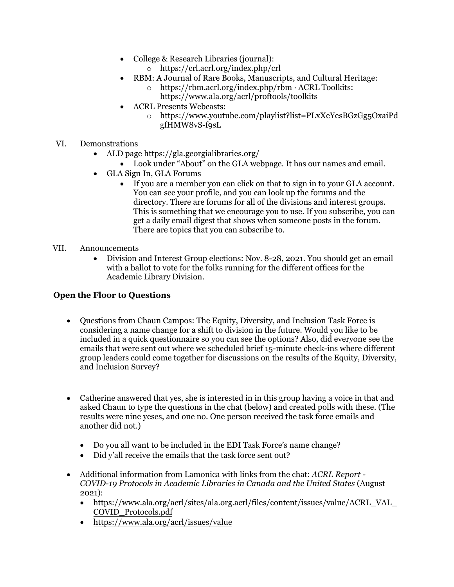- College & Research Libraries (journal):
	- o <https://crl.acrl.org/index.php/crl>
- RBM: A Journal of Rare Books, Manuscripts, and Cultural Heritage:
	- o https://rbm.acrl.org/index.php/rbm · ACRL Toolkits: <https://www.ala.org/acrl/proftools/toolkits>
- ACRL Presents Webcasts:
	- o [https://www.youtube.com/playlist?list=PLxXeYesBGzGg5OxaiPd](https://www.youtube.com/playlist?list=PLxXeYesBGzGg5OxaiPdgfHMW8vS-f9sL) [gfHMW8vS-f9sL](https://www.youtube.com/playlist?list=PLxXeYesBGzGg5OxaiPdgfHMW8vS-f9sL)
- VI. Demonstrations
	- ALD page [https://gla.georgialibraries.org/](https://urldefense.proofpoint.com/v2/url?u=https-3A__gla.georgialibraries.org_&d=DwMFaQ&c=FbBevciwIvGuzsJQdDnze9uCWRSXekJosRCbxNiCfPE&r=w1UXTfJB-H-T9dCyPk2luw&m=RzzAMqAIPVZ7I97OkbNx0c76GKl4ggE2jSOpH5KK7PU&s=YU1tmjTkUIkwc1KbBtIEHsdFf1rZIRf2pUKIXJTYcho&e=)
		- Look under "About" on the GLA webpage. It has our names and email.
	- GLA Sign In, GLA Forums
		- If you are a member you can click on that to sign in to your GLA account. You can see your profile, and you can look up the forums and the directory. There are forums for all of the divisions and interest groups. This is something that we encourage you to use. If you subscribe, you can get a daily email digest that shows when someone posts in the forum. There are topics that you can subscribe to.
- VII. Announcements
	- Division and Interest Group elections: Nov. 8-28, 2021. You should get an email with a ballot to vote for the folks running for the different offices for the Academic Library Division.

# **Open the Floor to Questions**

- Questions from Chaun Campos: The Equity, Diversity, and Inclusion Task Force is considering a name change for a shift to division in the future. Would you like to be included in a quick questionnaire so you can see the options? Also, did everyone see the emails that were sent out where we scheduled brief 15-minute check-ins where different group leaders could come together for discussions on the results of the Equity, Diversity, and Inclusion Survey?
- Catherine answered that yes, she is interested in in this group having a voice in that and asked Chaun to type the questions in the chat (below) and created polls with these. (The results were nine yeses, and one no. One person received the task force emails and another did not.)
	- Do you all want to be included in the EDI Task Force's name change?
	- Did y'all receive the emails that the task force sent out?
- Additional information from Lamonica with links from the chat: *ACRL Report COVID-19 Protocols in Academic Libraries in Canada and the United States* (August 20[21\):](https://www.ala.org/acrl/sites/ala.org.acrl/files/content/issues/value/ACRL_VAL_COVID_Protocols.pdf)
	- [https://www.ala.org/a](https://www.ala.org/acrl/sites/ala.org.acrl/files/content/issues/value/ACRL_VAL_COVID_Protocols.pdf)crl/sites/ala.org.acrl/files/content/issues/value/ACRL\_VAL\_ [COVID\\_Protocols.pdf](https://www.ala.org/acrl/issues/value)
	- https://www.ala.org/acrl/issues/value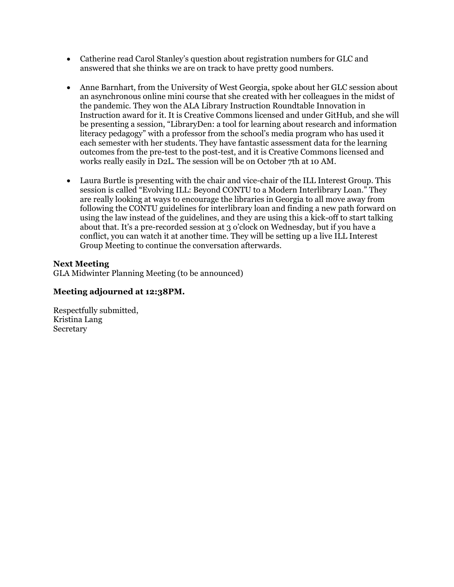- Catherine read Carol Stanley's question about registration numbers for GLC and answered that she thinks we are on track to have pretty good numbers.
- Anne Barnhart, from the University of West Georgia, spoke about her GLC session about an asynchronous online mini course that she created with her colleagues in the midst of the pandemic. They won the ALA Library Instruction Roundtable Innovation in Instruction award for it. It is Creative Commons licensed and under GitHub, and she will be presenting a session, "LibraryDen: a tool for learning about research and information literacy pedagogy" with a professor from the school's media program who has used it each semester with her students. They have fantastic assessment data for the learning outcomes from the pre-test to the post-test, and it is Creative Commons licensed and works really easily in D2L. The session will be on October 7th at 10 AM.
- Laura Burtle is presenting with the chair and vice-chair of the ILL Interest Group. This session is called "Evolving ILL: Beyond CONTU to a Modern Interlibrary Loan." They are really looking at ways to encourage the libraries in Georgia to all move away from following the CONTU guidelines for interlibrary loan and finding a new path forward on using the law instead of the guidelines, and they are using this a kick-off to start talking about that. It's a pre-recorded session at 3 o'clock on Wednesday, but if you have a conflict, you can watch it at another time. They will be setting up a live ILL Interest Group Meeting to continue the conversation afterwards.

# **Next Meeting**

GLA Midwinter Planning Meeting (to be announced)

## **Meeting adjourned at 12:38PM.**

Respectfully submitted, Kristina Lang Secretary